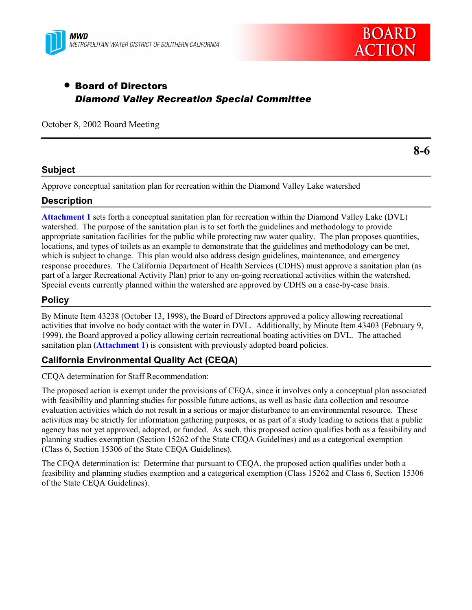



## • Board of Directors *Diamond Valley Recreation Special Committee*

October 8, 2002 Board Meeting

**Subject**

Approve conceptual sanitation plan for recreation within the Diamond Valley Lake watershed

#### **Description**

**Attachment 1** sets forth a conceptual sanitation plan for recreation within the Diamond Valley Lake (DVL) watershed. The purpose of the sanitation plan is to set forth the guidelines and methodology to provide appropriate sanitation facilities for the public while protecting raw water quality. The plan proposes quantities, locations, and types of toilets as an example to demonstrate that the guidelines and methodology can be met, which is subject to change. This plan would also address design guidelines, maintenance, and emergency response procedures. The California Department of Health Services (CDHS) must approve a sanitation plan (as part of a larger Recreational Activity Plan) prior to any on-going recreational activities within the watershed. Special events currently planned within the watershed are approved by CDHS on a case-by-case basis.

#### **Policy**

By Minute Item 43238 (October 13, 1998), the Board of Directors approved a policy allowing recreational activities that involve no body contact with the water in DVL. Additionally, by Minute Item 43403 (February 9, 1999), the Board approved a policy allowing certain recreational boating activities on DVL. The attached sanitation plan (**Attachment 1**) is consistent with previously adopted board policies.

### **California Environmental Quality Act (CEQA)**

CEQA determination for Staff Recommendation:

The proposed action is exempt under the provisions of CEQA, since it involves only a conceptual plan associated with feasibility and planning studies for possible future actions, as well as basic data collection and resource evaluation activities which do not result in a serious or major disturbance to an environmental resource. These activities may be strictly for information gathering purposes, or as part of a study leading to actions that a public agency has not yet approved, adopted, or funded. As such, this proposed action qualifies both as a feasibility and planning studies exemption (Section 15262 of the State CEQA Guidelines) and as a categorical exemption (Class 6, Section 15306 of the State CEQA Guidelines).

The CEQA determination is: Determine that pursuant to CEQA, the proposed action qualifies under both a feasibility and planning studies exemption and a categorical exemption (Class 15262 and Class 6, Section 15306 of the State CEQA Guidelines).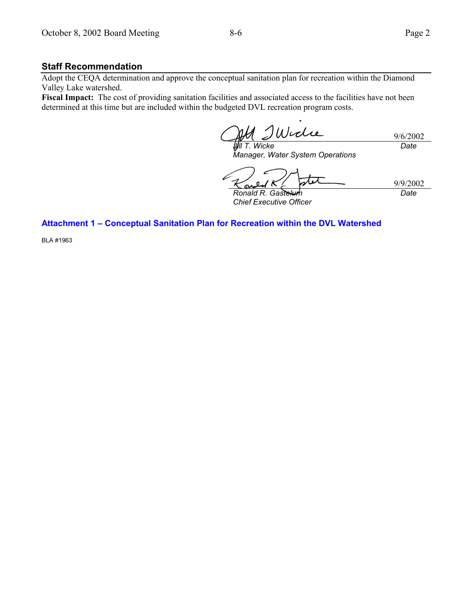#### **Staff Recommendation**

Adopt the CEQA determination and approve the conceptual sanitation plan for recreation within the Diamond Valley Lake watershed.

Fiscal Impact: The cost of providing sanitation facilities and associated access to the facilities have not been determined at this time but are included within the budgeted DVL recreation program costs.

Wiclie 9/6/2002 *Jill T. Wicke Date*

*Manager, Water System Operations*

 $\boldsymbol{\mathcal{U}}$ 9/9/2002 *Ronald R. Gastelum Date*

*Chief Executive Officer*

**Attachment 1 - Conceptual Sanitation Plan for Recreation within the DVL Watershed** 

BLA #1963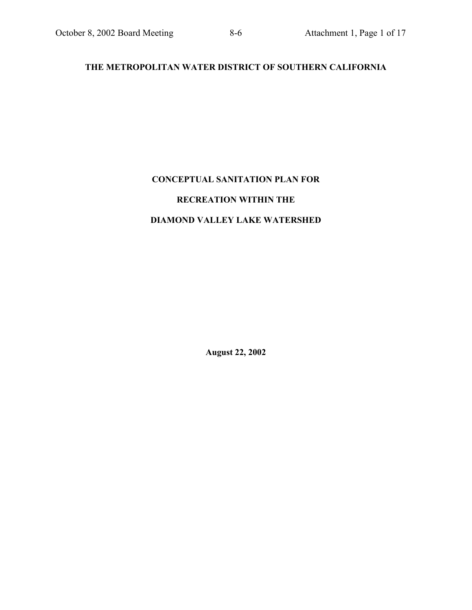## **THE METROPOLITAN WATER DISTRICT OF SOUTHERN CALIFORNIA**

# **CONCEPTUAL SANITATION PLAN FOR**

## **RECREATION WITHIN THE**

## **DIAMOND VALLEY LAKE WATERSHED**

**August 22, 2002**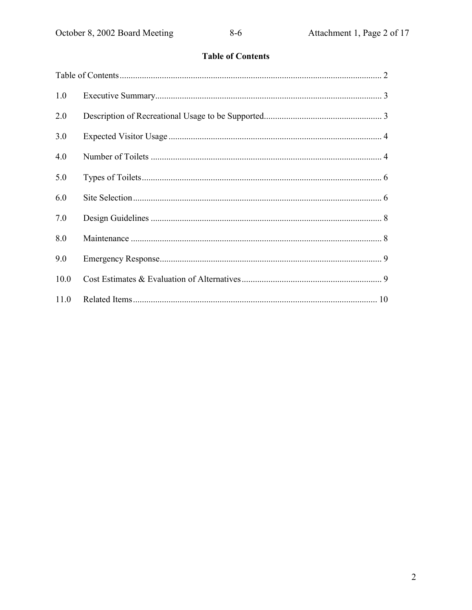## **Table of Contents**

| 1.0  |  |
|------|--|
| 2.0  |  |
| 3.0  |  |
| 4.0  |  |
| 5.0  |  |
| 6.0  |  |
| 7.0  |  |
| 8.0  |  |
| 9.0  |  |
| 10.0 |  |
| 11.0 |  |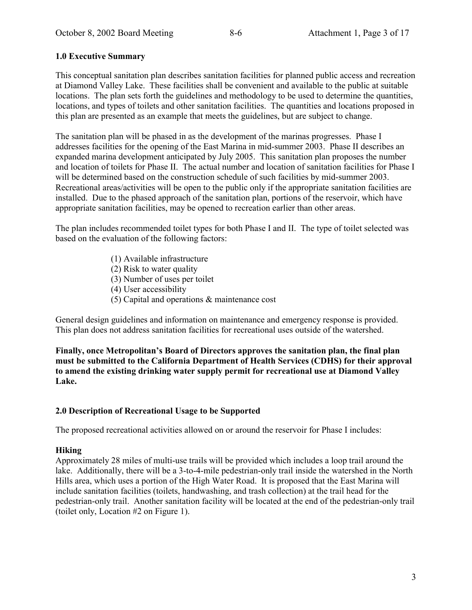### **1.0 Executive Summary**

This conceptual sanitation plan describes sanitation facilities for planned public access and recreation at Diamond Valley Lake. These facilities shall be convenient and available to the public at suitable locations. The plan sets forth the guidelines and methodology to be used to determine the quantities, locations, and types of toilets and other sanitation facilities. The quantities and locations proposed in this plan are presented as an example that meets the guidelines, but are subject to change.

The sanitation plan will be phased in as the development of the marinas progresses. Phase I addresses facilities for the opening of the East Marina in mid-summer 2003. Phase II describes an expanded marina development anticipated by July 2005. This sanitation plan proposes the number and location of toilets for Phase II. The actual number and location of sanitation facilities for Phase I will be determined based on the construction schedule of such facilities by mid-summer 2003. Recreational areas/activities will be open to the public only if the appropriate sanitation facilities are installed. Due to the phased approach of the sanitation plan, portions of the reservoir, which have appropriate sanitation facilities, may be opened to recreation earlier than other areas.

The plan includes recommended toilet types for both Phase I and II. The type of toilet selected was based on the evaluation of the following factors:

- (1) Available infrastructure
- (2) Risk to water quality
- (3) Number of uses per toilet
- (4) User accessibility
- (5) Capital and operations & maintenance cost

General design guidelines and information on maintenance and emergency response is provided. This plan does not address sanitation facilities for recreational uses outside of the watershed.

Finally, once Metropolitan's Board of Directors approves the sanitation plan, the final plan **must be submitted to the California Department of Health Services (CDHS) for their approval to amend the existing drinking water supply permit for recreational use at Diamond Valley Lake.**

### **2.0 Description of Recreational Usage to be Supported**

The proposed recreational activities allowed on or around the reservoir for Phase I includes:

### **Hiking**

Approximately 28 miles of multi-use trails will be provided which includes a loop trail around the lake. Additionally, there will be a 3-to-4-mile pedestrian-only trail inside the watershed in the North Hills area, which uses a portion of the High Water Road. It is proposed that the East Marina will include sanitation facilities (toilets, handwashing, and trash collection) at the trail head for the pedestrian-only trail. Another sanitation facility will be located at the end of the pedestrian-only trail (toilet only, Location #2 on Figure 1).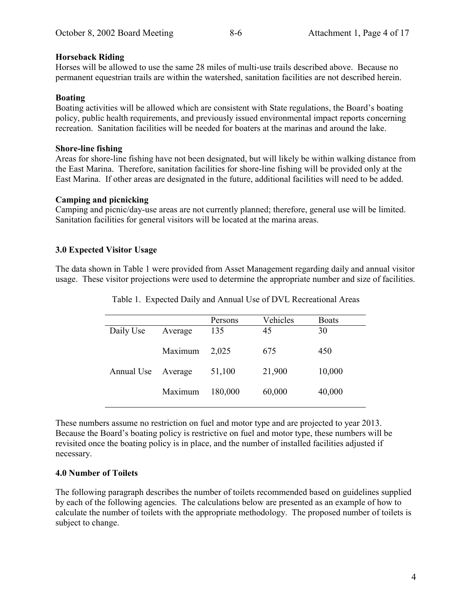#### **Horseback Riding**

Horses will be allowed to use the same 28 miles of multi-use trails described above. Because no permanent equestrian trails are within the watershed, sanitation facilities are not described herein.

#### **Boating**

Boating activities will be allowed which are consistent with State regulations, the Board's boating policy, public health requirements, and previously issued environmental impact reports concerning recreation. Sanitation facilities will be needed for boaters at the marinas and around the lake.

#### **Shore-line fishing**

Areas for shore-line fishing have not been designated, but will likely be within walking distance from the East Marina. Therefore, sanitation facilities for shore-line fishing will be provided only at the East Marina. If other areas are designated in the future, additional facilities will need to be added.

#### **Camping and picnicking**

Camping and picnic/day-use areas are not currently planned; therefore, general use will be limited. Sanitation facilities for general visitors will be located at the marina areas.

#### **3.0 Expected Visitor Usage**

The data shown in Table 1 were provided from Asset Management regarding daily and annual visitor usage. These visitor projections were used to determine the appropriate number and size of facilities.

|            |         | Persons | Vehicles | <b>Boats</b> |
|------------|---------|---------|----------|--------------|
| Daily Use  | Average | 135     | 45       | 30           |
|            | Maximum | 2,025   | 675      | 450          |
| Annual Use | Average | 51,100  | 21,900   | 10,000       |
|            | Maximum | 180,000 | 60,000   | 40,000       |

Table 1. Expected Daily and Annual Use of DVL Recreational Areas

These numbers assume no restriction on fuel and motor type and are projected to year 2013. Because the Board's boating policy is restrictive on fuel and motor type, these numbers will be revisited once the boating policy is in place, and the number of installed facilities adjusted if necessary.

#### **4.0 Number of Toilets**

The following paragraph describes the number of toilets recommended based on guidelines supplied by each of the following agencies. The calculations below are presented as an example of how to calculate the number of toilets with the appropriate methodology. The proposed number of toilets is subject to change.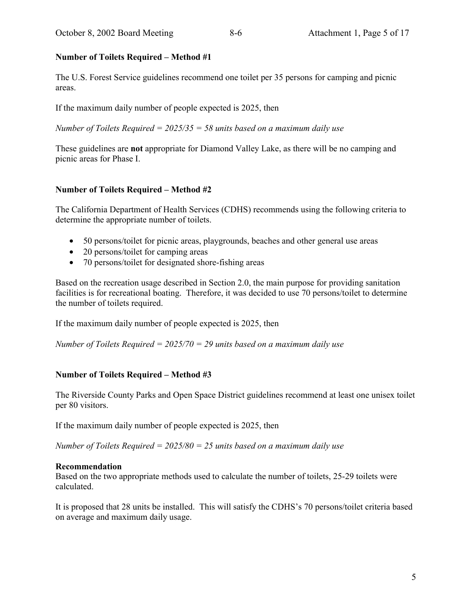### **Number of Toilets Required – Method #1**

The U.S. Forest Service guidelines recommend one toilet per 35 persons for camping and picnic areas.

If the maximum daily number of people expected is 2025, then

*Number of Toilets Required = 2025/35 = 58 units based on a maximum daily use*

These guidelines are **not** appropriate for Diamond Valley Lake, as there will be no camping and picnic areas for Phase I.

### **Number of Toilets Required – Method #2**

The California Department of Health Services (CDHS) recommends using the following criteria to determine the appropriate number of toilets.

- 50 persons/toilet for picnic areas, playgrounds, beaches and other general use areas
- 20 persons/toilet for camping areas
- 70 persons/toilet for designated shore-fishing areas

Based on the recreation usage described in Section 2.0, the main purpose for providing sanitation facilities is for recreational boating. Therefore, it was decided to use 70 persons/toilet to determine the number of toilets required.

If the maximum daily number of people expected is 2025, then

*Number of Toilets Required = 2025/70 = 29 units based on a maximum daily use*

### **Number of Toilets Required – Method #3**

The Riverside County Parks and Open Space District guidelines recommend at least one unisex toilet per 80 visitors.

If the maximum daily number of people expected is 2025, then

*Number of Toilets Required = 2025/80 = 25 units based on a maximum daily use*

#### **Recommendation**

Based on the two appropriate methods used to calculate the number of toilets, 25-29 toilets were calculated.

It is proposed that 28 units be installed. This will satisfy the CDHS's 70 persons/toilet criteria based on average and maximum daily usage.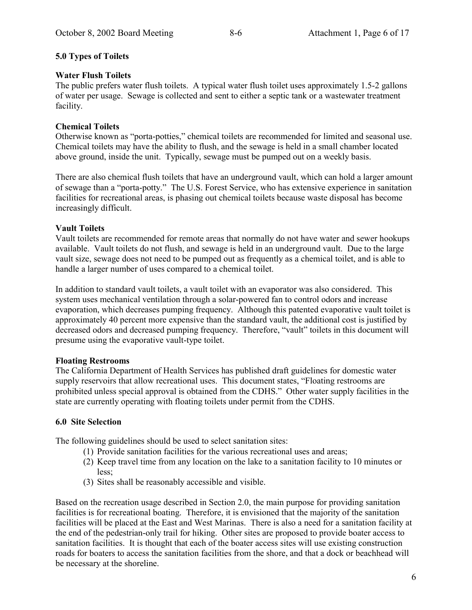### **5.0 Types of Toilets**

#### **Water Flush Toilets**

The public prefers water flush toilets. A typical water flush toilet uses approximately 1.5-2 gallons of water per usage. Sewage is collected and sent to either a septic tank or a wastewater treatment facility.

#### **Chemical Toilets**

Otherwise known as "porta-potties," chemical toilets are recommended for limited and seasonal use. Chemical toilets may have the ability to flush, and the sewage is held in a small chamber located above ground, inside the unit. Typically, sewage must be pumped out on a weekly basis.

There are also chemical flush toilets that have an underground vault, which can hold a larger amount of sewage than a "porta-potty." The U.S. Forest Service, who has extensive experience in sanitation facilities for recreational areas, is phasing out chemical toilets because waste disposal has become increasingly difficult.

#### **Vault Toilets**

Vault toilets are recommended for remote areas that normally do not have water and sewer hookups available. Vault toilets do not flush, and sewage is held in an underground vault. Due to the large vault size, sewage does not need to be pumped out as frequently as a chemical toilet, and is able to handle a larger number of uses compared to a chemical toilet.

In addition to standard vault toilets, a vault toilet with an evaporator was also considered. This system uses mechanical ventilation through a solar-powered fan to control odors and increase evaporation, which decreases pumping frequency. Although this patented evaporative vault toilet is approximately 40 percent more expensive than the standard vault, the additional cost is justified by decreased odors and decreased pumping frequency. Therefore, "vault" toilets in this document will presume using the evaporative vault-type toilet.

#### **Floating Restrooms**

The California Department of Health Services has published draft guidelines for domestic water supply reservoirs that allow recreational uses. This document states, "Floating restrooms are prohibited unless special approval is obtained from the CDHS." Other water supply facilities in the state are currently operating with floating toilets under permit from the CDHS.

#### **6.0 Site Selection**

The following guidelines should be used to select sanitation sites:

- (1) Provide sanitation facilities for the various recreational uses and areas;
- (2) Keep travel time from any location on the lake to a sanitation facility to 10 minutes or less;
- (3) Sites shall be reasonably accessible and visible.

Based on the recreation usage described in Section 2.0, the main purpose for providing sanitation facilities is for recreational boating. Therefore, it is envisioned that the majority of the sanitation facilities will be placed at the East and West Marinas. There is also a need for a sanitation facility at the end of the pedestrian-only trail for hiking. Other sites are proposed to provide boater access to sanitation facilities. It is thought that each of the boater access sites will use existing construction roads for boaters to access the sanitation facilities from the shore, and that a dock or beachhead will be necessary at the shoreline.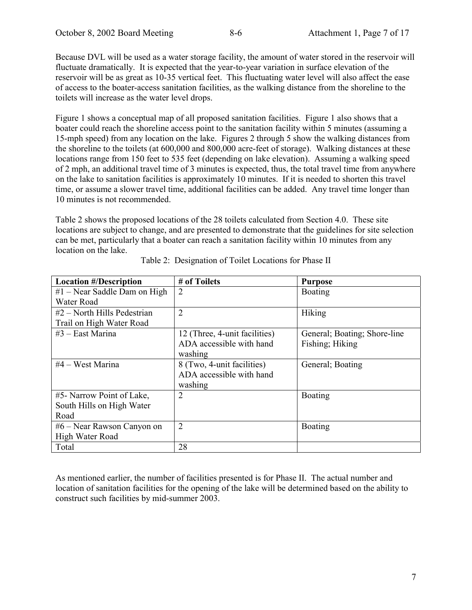Because DVL will be used as a water storage facility, the amount of water stored in the reservoir will fluctuate dramatically. It is expected that the year-to-year variation in surface elevation of the reservoir will be as great as 10-35 vertical feet. This fluctuating water level will also affect the ease of access to the boater-access sanitation facilities, as the walking distance from the shoreline to the toilets will increase as the water level drops.

Figure 1 shows a conceptual map of all proposed sanitation facilities. Figure 1 also shows that a boater could reach the shoreline access point to the sanitation facility within 5 minutes (assuming a 15-mph speed) from any location on the lake. Figures 2 through 5 show the walking distances from the shoreline to the toilets (at 600,000 and 800,000 acre-feet of storage). Walking distances at these locations range from 150 feet to 535 feet (depending on lake elevation). Assuming a walking speed of 2 mph, an additional travel time of 3 minutes is expected, thus, the total travel time from anywhere on the lake to sanitation facilities is approximately 10 minutes. If it is needed to shorten this travel time, or assume a slower travel time, additional facilities can be added. Any travel time longer than 10 minutes is not recommended.

Table 2 shows the proposed locations of the 28 toilets calculated from Section 4.0. These site locations are subject to change, and are presented to demonstrate that the guidelines for site selection can be met, particularly that a boater can reach a sanitation facility within 10 minutes from any location on the lake.

| <b>Location #/Description</b>  | # of Toilets                  | <b>Purpose</b>               |
|--------------------------------|-------------------------------|------------------------------|
| $#1$ – Near Saddle Dam on High | $\overline{2}$                | <b>Boating</b>               |
| Water Road                     |                               |                              |
| #2 – North Hills Pedestrian    | $\overline{2}$                | Hiking                       |
| Trail on High Water Road       |                               |                              |
| $#3$ – East Marina             | 12 (Three, 4-unit facilities) | General; Boating; Shore-line |
|                                | ADA accessible with hand      | Fishing; Hiking              |
|                                | washing                       |                              |
| $#4 - West Marina$             | 8 (Two, 4-unit facilities)    | General; Boating             |
|                                | ADA accessible with hand      |                              |
|                                | washing                       |                              |
| #5- Narrow Point of Lake,      | 2                             | Boating                      |
| South Hills on High Water      |                               |                              |
| Road                           |                               |                              |
| #6 – Near Rawson Canyon on     | $\overline{2}$                | <b>Boating</b>               |
| High Water Road                |                               |                              |
| Total                          | 28                            |                              |

Table 2: Designation of Toilet Locations for Phase II

As mentioned earlier, the number of facilities presented is for Phase II. The actual number and location of sanitation facilities for the opening of the lake will be determined based on the ability to construct such facilities by mid-summer 2003.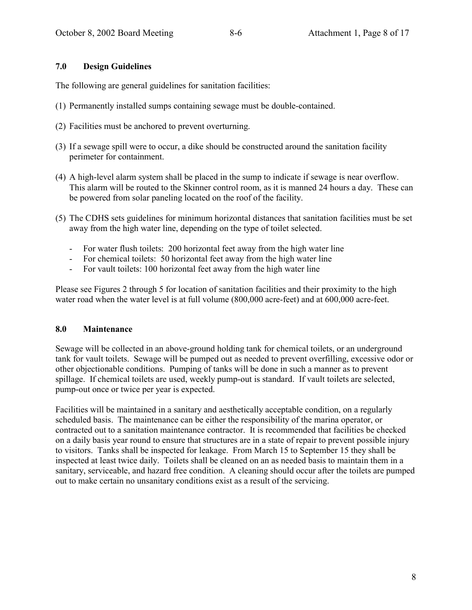#### **7.0 Design Guidelines**

The following are general guidelines for sanitation facilities:

- (1) Permanently installed sumps containing sewage must be double-contained.
- (2) Facilities must be anchored to prevent overturning.
- (3) If a sewage spill were to occur, a dike should be constructed around the sanitation facility perimeter for containment.
- (4) A high-level alarm system shall be placed in the sump to indicate if sewage is near overflow. This alarm will be routed to the Skinner control room, as it is manned 24 hours a day. These can be powered from solar paneling located on the roof of the facility.
- (5) The CDHS sets guidelines for minimum horizontal distances that sanitation facilities must be set away from the high water line, depending on the type of toilet selected.
	- For water flush toilets: 200 horizontal feet away from the high water line
	- For chemical toilets: 50 horizontal feet away from the high water line
	- For vault toilets: 100 horizontal feet away from the high water line

Please see Figures 2 through 5 for location of sanitation facilities and their proximity to the high water road when the water level is at full volume (800,000 acre-feet) and at 600,000 acre-feet.

### **8.0 Maintenance**

Sewage will be collected in an above-ground holding tank for chemical toilets, or an underground tank for vault toilets. Sewage will be pumped out as needed to prevent overfilling, excessive odor or other objectionable conditions. Pumping of tanks will be done in such a manner as to prevent spillage. If chemical toilets are used, weekly pump-out is standard. If vault toilets are selected, pump-out once or twice per year is expected.

Facilities will be maintained in a sanitary and aesthetically acceptable condition, on a regularly scheduled basis. The maintenance can be either the responsibility of the marina operator, or contracted out to a sanitation maintenance contractor. It is recommended that facilities be checked on a daily basis year round to ensure that structures are in a state of repair to prevent possible injury to visitors. Tanks shall be inspected for leakage. From March 15 to September 15 they shall be inspected at least twice daily. Toilets shall be cleaned on an as needed basis to maintain them in a sanitary, serviceable, and hazard free condition. A cleaning should occur after the toilets are pumped out to make certain no unsanitary conditions exist as a result of the servicing.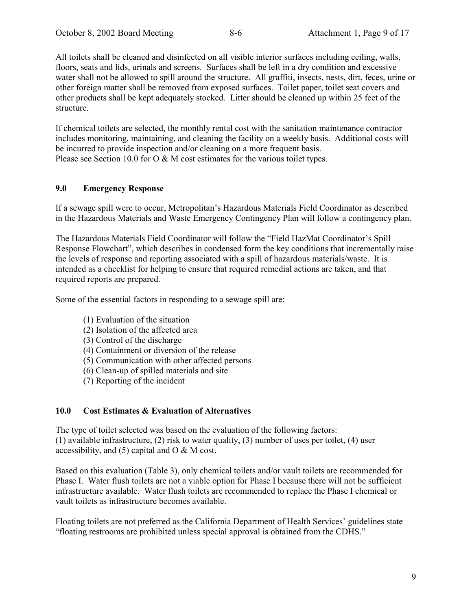All toilets shall be cleaned and disinfected on all visible interior surfaces including ceiling, walls, floors, seats and lids, urinals and screens. Surfaces shall be left in a dry condition and excessive water shall not be allowed to spill around the structure. All graffiti, insects, nests, dirt, feces, urine or other foreign matter shall be removed from exposed surfaces. Toilet paper, toilet seat covers and other products shall be kept adequately stocked. Litter should be cleaned up within 25 feet of the structure.

If chemical toilets are selected, the monthly rental cost with the sanitation maintenance contractor includes monitoring, maintaining, and cleaning the facility on a weekly basis. Additional costs will be incurred to provide inspection and/or cleaning on a more frequent basis. Please see Section 10.0 for O & M cost estimates for the various toilet types.

#### **9.0 Emergency Response**

If a sewage spill were to occur, Metropolitan's Hazardous Materials Field Coordinator as described in the Hazardous Materials and Waste Emergency Contingency Plan will follow a contingency plan.

The Hazardous Materials Field Coordinator will follow the "Field HazMat Coordinator's Spill Response Flowchart", which describes in condensed form the key conditions that incrementally raise the levels of response and reporting associated with a spill of hazardous materials/waste. It is intended as a checklist for helping to ensure that required remedial actions are taken, and that required reports are prepared.

Some of the essential factors in responding to a sewage spill are:

- (1) Evaluation of the situation
- (2) Isolation of the affected area
- (3) Control of the discharge
- (4) Containment or diversion of the release
- (5) Communication with other affected persons
- (6) Clean-up of spilled materials and site
- (7) Reporting of the incident

### **10.0 Cost Estimates & Evaluation of Alternatives**

The type of toilet selected was based on the evaluation of the following factors: (1) available infrastructure, (2) risk to water quality, (3) number of uses per toilet, (4) user accessibility, and (5) capital and O & M cost.

Based on this evaluation (Table 3), only chemical toilets and/or vault toilets are recommended for Phase I. Water flush toilets are not a viable option for Phase I because there will not be sufficient infrastructure available. Water flush toilets are recommended to replace the Phase I chemical or vault toilets as infrastructure becomes available.

Floating toilets are not preferred as the California Department of Health Services' guidelines state *if* loating restrooms are prohibited unless special approval is obtained from the CDHS.<sup>*n*</sup>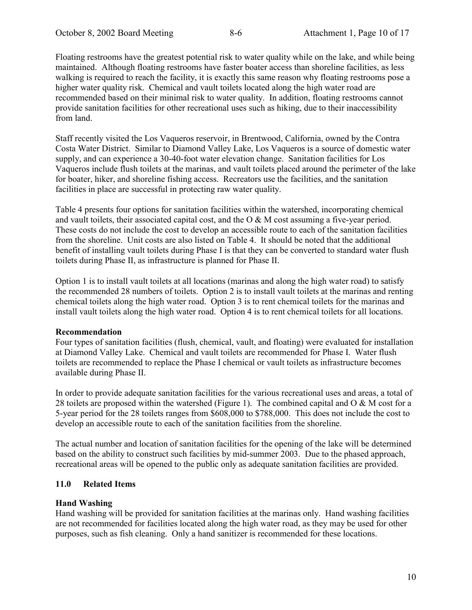Floating restrooms have the greatest potential risk to water quality while on the lake, and while being maintained. Although floating restrooms have faster boater access than shoreline facilities, as less walking is required to reach the facility, it is exactly this same reason why floating restrooms pose a higher water quality risk. Chemical and vault toilets located along the high water road are recommended based on their minimal risk to water quality. In addition, floating restrooms cannot provide sanitation facilities for other recreational uses such as hiking, due to their inaccessibility from land.

Staff recently visited the Los Vaqueros reservoir, in Brentwood, California, owned by the Contra Costa Water District. Similar to Diamond Valley Lake, Los Vaqueros is a source of domestic water supply, and can experience a 30-40-foot water elevation change. Sanitation facilities for Los Vaqueros include flush toilets at the marinas, and vault toilets placed around the perimeter of the lake for boater, hiker, and shoreline fishing access. Recreators use the facilities, and the sanitation facilities in place are successful in protecting raw water quality.

Table 4 presents four options for sanitation facilities within the watershed, incorporating chemical and vault toilets, their associated capital cost, and the  $\overline{O} \& M \overline{C}$  assuming a five-year period. These costs do not include the cost to develop an accessible route to each of the sanitation facilities from the shoreline. Unit costs are also listed on Table 4. It should be noted that the additional benefit of installing vault toilets during Phase I is that they can be converted to standard water flush toilets during Phase II, as infrastructure is planned for Phase II.

Option 1 is to install vault toilets at all locations (marinas and along the high water road) to satisfy the recommended 28 numbers of toilets. Option 2 is to install vault toilets at the marinas and renting chemical toilets along the high water road. Option 3 is to rent chemical toilets for the marinas and install vault toilets along the high water road. Option 4 is to rent chemical toilets for all locations.

#### **Recommendation**

Four types of sanitation facilities (flush, chemical, vault, and floating) were evaluated for installation at Diamond Valley Lake. Chemical and vault toilets are recommended for Phase I. Water flush toilets are recommended to replace the Phase I chemical or vault toilets as infrastructure becomes available during Phase II.

In order to provide adequate sanitation facilities for the various recreational uses and areas, a total of 28 toilets are proposed within the watershed (Figure 1). The combined capital and  $\overline{O} \& M \overline{O}$  as the range of the watershed (Figure 1). 5-year period for the 28 toilets ranges from \$608,000 to \$788,000. This does not include the cost to develop an accessible route to each of the sanitation facilities from the shoreline.

The actual number and location of sanitation facilities for the opening of the lake will be determined based on the ability to construct such facilities by mid-summer 2003. Due to the phased approach, recreational areas will be opened to the public only as adequate sanitation facilities are provided.

#### **11.0 Related Items**

#### **Hand Washing**

Hand washing will be provided for sanitation facilities at the marinas only. Hand washing facilities are not recommended for facilities located along the high water road, as they may be used for other purposes, such as fish cleaning. Only a hand sanitizer is recommended for these locations.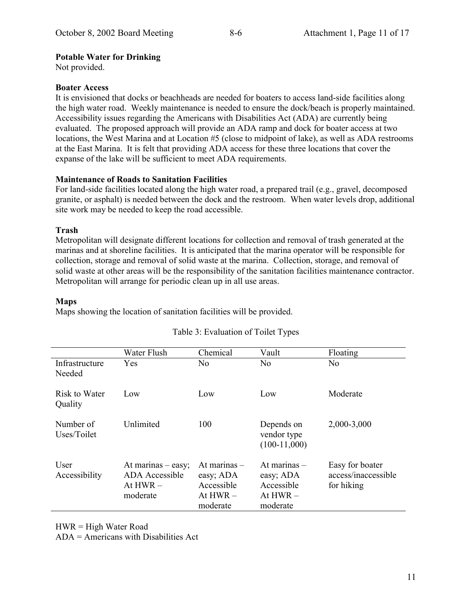#### **Potable Water for Drinking**

Not provided.

#### **Boater Access**

It is envisioned that docks or beachheads are needed for boaters to access land-side facilities along the high water road. Weekly maintenance is needed to ensure the dock/beach is properly maintained. Accessibility issues regarding the Americans with Disabilities Act (ADA) are currently being evaluated. The proposed approach will provide an ADA ramp and dock for boater access at two locations, the West Marina and at Location #5 (close to midpoint of lake), as well as ADA restrooms at the East Marina. It is felt that providing ADA access for these three locations that cover the expanse of the lake will be sufficient to meet ADA requirements.

#### **Maintenance of Roads to Sanitation Facilities**

For land-side facilities located along the high water road, a prepared trail (e.g., gravel, decomposed granite, or asphalt) is needed between the dock and the restroom. When water levels drop, additional site work may be needed to keep the road accessible.

#### **Trash**

Metropolitan will designate different locations for collection and removal of trash generated at the marinas and at shoreline facilities. It is anticipated that the marina operator will be responsible for collection, storage and removal of solid waste at the marina. Collection, storage, and removal of solid waste at other areas will be the responsibility of the sanitation facilities maintenance contractor. Metropolitan will arrange for periodic clean up in all use areas.

#### **Maps**

Maps showing the location of sanitation facilities will be provided.

|                          | Water Flush                                                             | Chemical                                                            | Vault                                                               | Floating                                             |
|--------------------------|-------------------------------------------------------------------------|---------------------------------------------------------------------|---------------------------------------------------------------------|------------------------------------------------------|
| Infrastructure<br>Needed | Yes                                                                     | N <sub>0</sub>                                                      | No                                                                  | No                                                   |
| Risk to Water<br>Quality | Low                                                                     | Low                                                                 | Low                                                                 | Moderate                                             |
| Number of<br>Uses/Toilet | Unlimited                                                               | 100                                                                 | Depends on<br>vendor type<br>$(100-11,000)$                         | 2,000-3,000                                          |
| User<br>Accessibility    | At marinas $-$ easy;<br><b>ADA</b> Accessible<br>At $HWR -$<br>moderate | At marinas $-$<br>easy; ADA<br>Accessible<br>At $HWR -$<br>moderate | At marinas $-$<br>easy; ADA<br>Accessible<br>At $HWR -$<br>moderate | Easy for boater<br>access/inaccessible<br>for hiking |

#### Table 3: Evaluation of Toilet Types

HWR = High Water Road

ADA = Americans with Disabilities Act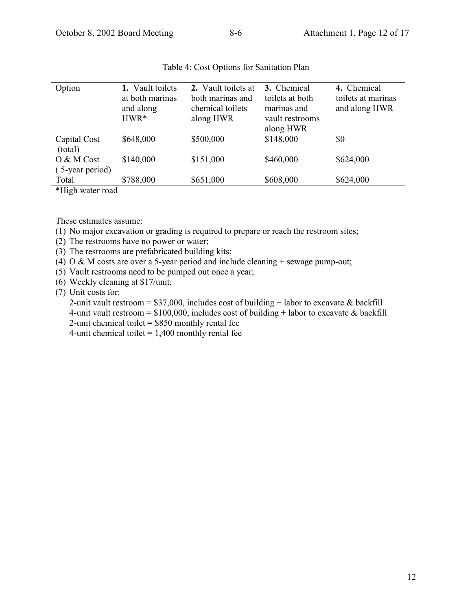| Option                               | 1. Vault toilets | 2. Vault toilets at | 3. Chemical     | 4. Chemical        |  |
|--------------------------------------|------------------|---------------------|-----------------|--------------------|--|
|                                      | at both marinas  | both marinas and    | toilets at both | toilets at marinas |  |
|                                      | and along        | chemical toilets    | marinas and     | and along HWR      |  |
|                                      | $HWR*$           | along HWR           | vault restrooms |                    |  |
|                                      |                  |                     | along HWR       |                    |  |
| Capital Cost                         | \$648,000        | \$500,000           | \$148,000       | \$0                |  |
| (total)                              |                  |                     |                 |                    |  |
| O & M Cost                           | \$140,000        | \$151,000           | \$460,000       | \$624,000          |  |
| (5-year period)                      |                  |                     |                 |                    |  |
| Total                                | \$788,000        | \$651,000           | \$608,000       | \$624,000          |  |
| 2.771<br>$\sim$ $\sim$ $\sim$ $\sim$ |                  |                     |                 |                    |  |

#### Table 4: Cost Options for Sanitation Plan

\*High water road

These estimates assume:

- (1) No major excavation or grading is required to prepare or reach the restroom sites;
- (2) The restrooms have no power or water;
- (3) The restrooms are prefabricated building kits;
- (4) O & M costs are over a 5-year period and include cleaning  $+$  sewage pump-out;
- (5) Vault restrooms need to be pumped out once a year;
- (6) Weekly cleaning at \$17/unit;
- (7) Unit costs for:

2-unit vault restroom =  $$37,000$ , includes cost of building + labor to excavate & backfill 4-unit vault restroom =  $$100,000$ , includes cost of building + labor to excavate & backfill 2-unit chemical toilet  $= $850$  monthly rental fee

4-unit chemical toilet  $= 1,400$  monthly rental fee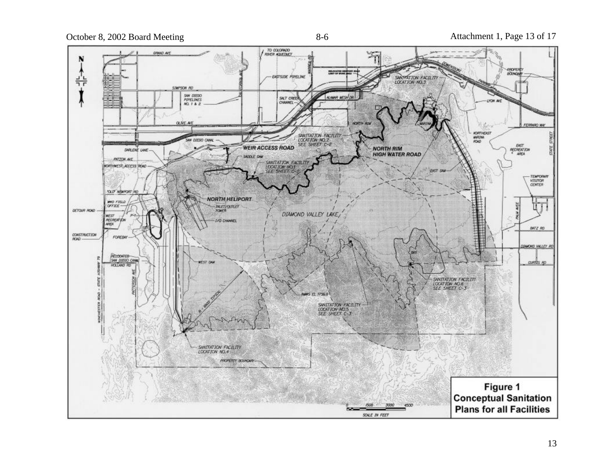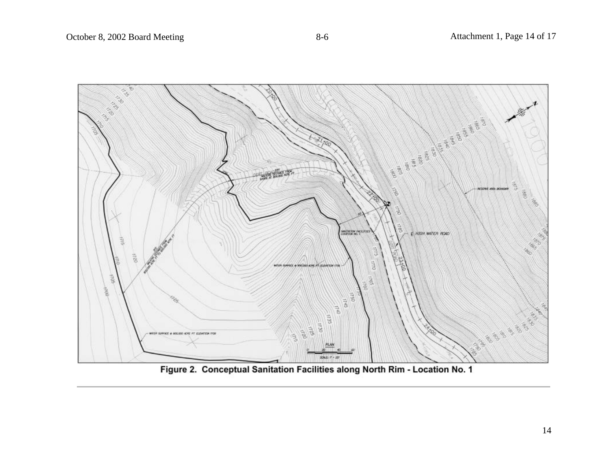

Figure 2. Conceptual Sanitation Facilities along North Rim - Location No. 1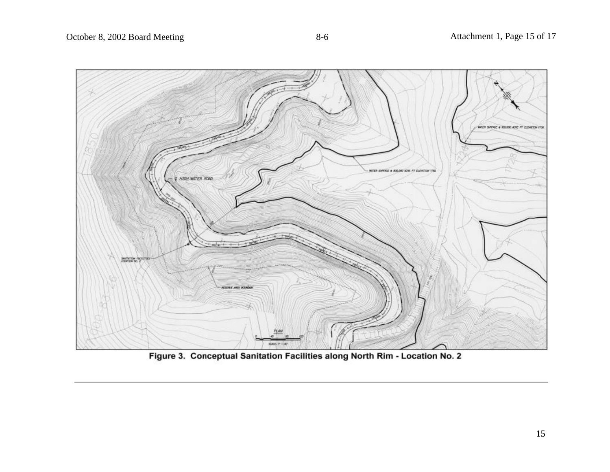

Figure 3. Conceptual Sanitation Facilities along North Rim - Location No. 2

15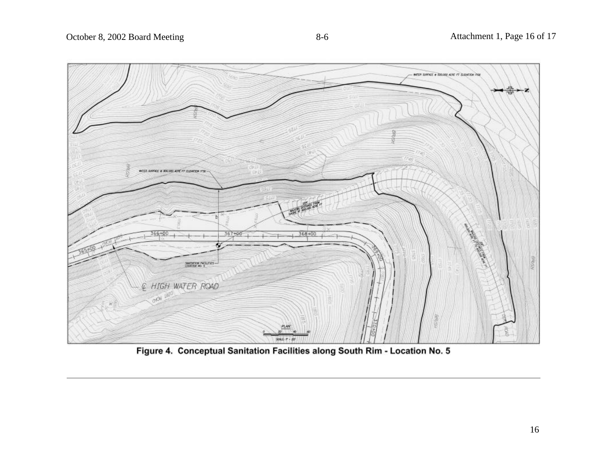

Figure 4. Conceptual Sanitation Facilities along South Rim - Location No. 5